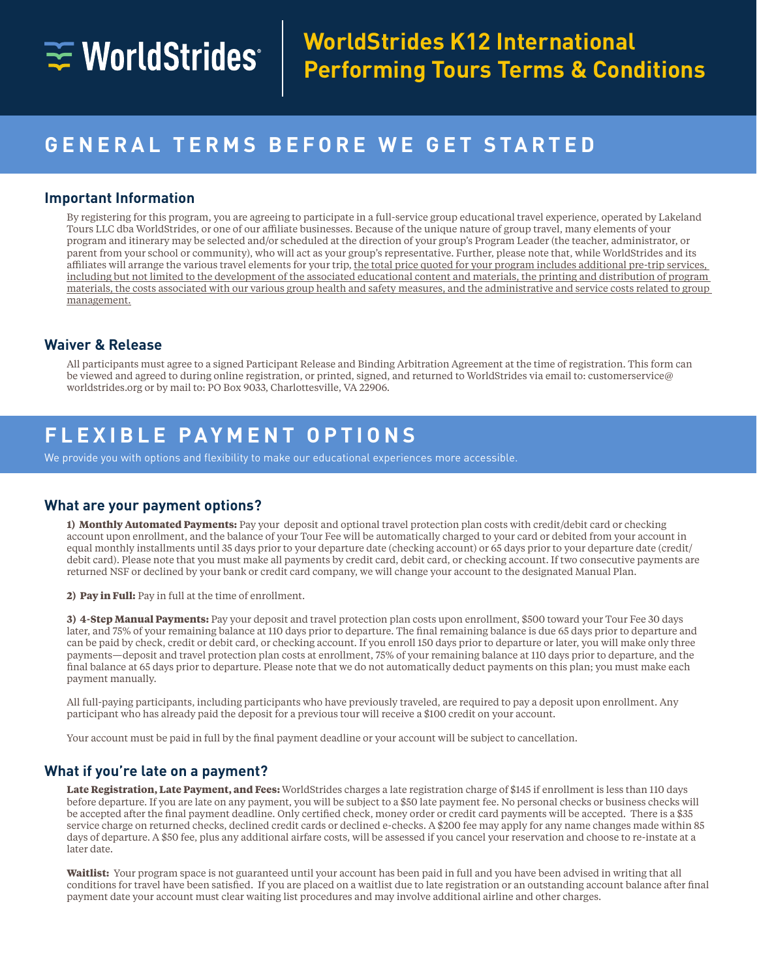# $\equiv$  WorldStrides

# **GENERAL TERMS BEFORE WE GET STARTED**

## **Important Information**

By registering for this program, you are agreeing to participate in a full-service group educational travel experience, operated by Lakeland Tours LLC dba WorldStrides, or one of our affiliate businesses. Because of the unique nature of group travel, many elements of your program and itinerary may be selected and/or scheduled at the direction of your group's Program Leader (the teacher, administrator, or parent from your school or community), who will act as your group's representative. Further, please note that, while WorldStrides and its affiliates will arrange the various travel elements for your trip, the total price quoted for your program includes additional pre-trip services, including but not limited to the development of the associated educational content and materials, the printing and distribution of program materials, the costs associated with our various group health and safety measures, and the administrative and service costs related to group management.

# **Waiver & Release**

All participants must agree to a signed Participant Release and Binding Arbitration Agreement at the time of registration. This form can be viewed and agreed to during online registration, or printed, signed, and returned to WorldStrides via email to: customerservice@ worldstrides.org or by mail to: PO Box 9033, Charlottesville, VA 22906.

# **FLEXIBLE PAYMENT OPTIONS**

We provide you with options and flexibility to make our educational experiences more accessible.

### **What are your payment options?**

**1) Monthly Automated Payments:** Pay your deposit and optional travel protection plan costs with credit/debit card or checking account upon enrollment, and the balance of your Tour Fee will be automatically charged to your card or debited from your account in equal monthly installments until 35 days prior to your departure date (checking account) or 65 days prior to your departure date (credit/ debit card). Please note that you must make all payments by credit card, debit card, or checking account. If two consecutive payments are returned NSF or declined by your bank or credit card company, we will change your account to the designated Manual Plan.

**2) Pay in Full:** Pay in full at the time of enrollment.

**3) 4-Step Manual Payments:** Pay your deposit and travel protection plan costs upon enrollment, \$500 toward your Tour Fee 30 days later, and 75% of your remaining balance at 110 days prior to departure. The final remaining balance is due 65 days prior to departure and can be paid by check, credit or debit card, or checking account. If you enroll 150 days prior to departure or later, you will make only three payments—deposit and travel protection plan costs at enrollment, 75% of your remaining balance at 110 days prior to departure, and the final balance at 65 days prior to departure. Please note that we do not automatically deduct payments on this plan; you must make each payment manually.

All full-paying participants, including participants who have previously traveled, are required to pay a deposit upon enrollment. Any participant who has already paid the deposit for a previous tour will receive a \$100 credit on your account.

Your account must be paid in full by the final payment deadline or your account will be subject to cancellation.

#### **What if you're late on a payment?**

**Late Registration, Late Payment, and Fees:** WorldStrides charges a late registration charge of \$145 if enrollment is less than 110 days before departure. If you are late on any payment, you will be subject to a \$50 late payment fee. No personal checks or business checks will be accepted after the final payment deadline. Only certified check, money order or credit card payments will be accepted. There is a \$35 service charge on returned checks, declined credit cards or declined e-checks. A \$200 fee may apply for any name changes made within 85 days of departure. A \$50 fee, plus any additional airfare costs, will be assessed if you cancel your reservation and choose to re-instate at a later date.

**Waitlist:** Your program space is not guaranteed until your account has been paid in full and you have been advised in writing that all conditions for travel have been satisfied. If you are placed on a waitlist due to late registration or an outstanding account balance after final payment date your account must clear waiting list procedures and may involve additional airline and other charges.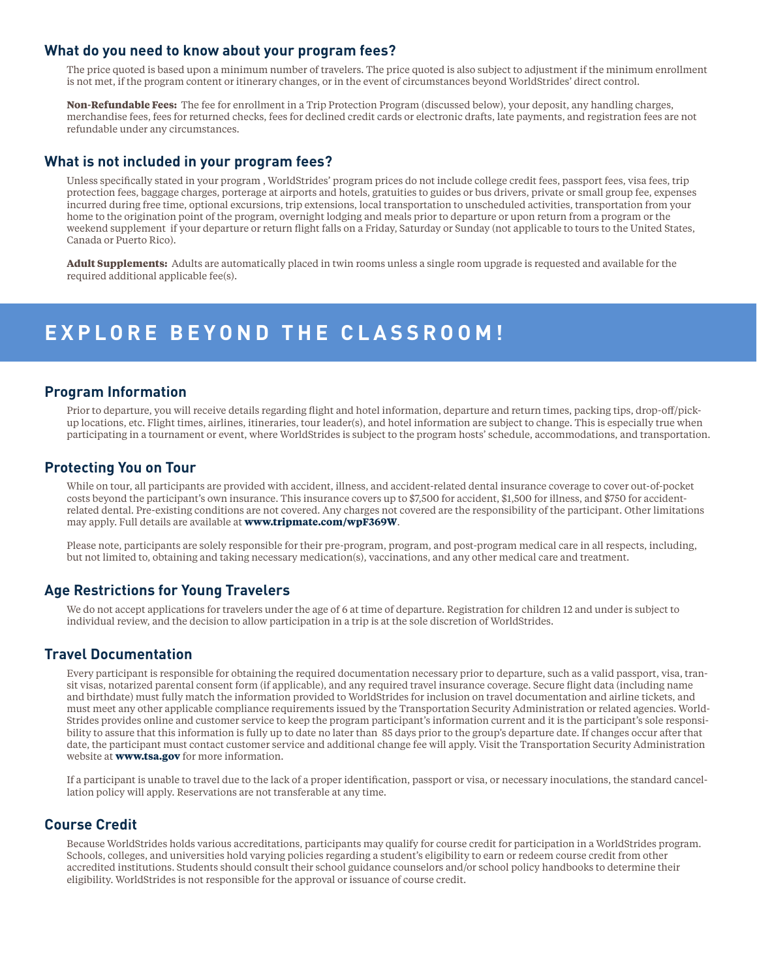#### **What do you need to know about your program fees?**

The price quoted is based upon a minimum number of travelers. The price quoted is also subject to adjustment if the minimum enrollment is not met, if the program content or itinerary changes, or in the event of circumstances beyond WorldStrides' direct control.

**Non-Refundable Fees:** The fee for enrollment in a Trip Protection Program (discussed below), your deposit, any handling charges, merchandise fees, fees for returned checks, fees for declined credit cards or electronic drafts, late payments, and registration fees are not refundable under any circumstances.

### **What is not included in your program fees?**

Unless specifically stated in your program , WorldStrides' program prices do not include college credit fees, passport fees, visa fees, trip protection fees, baggage charges, porterage at airports and hotels, gratuities to guides or bus drivers, private or small group fee, expenses incurred during free time, optional excursions, trip extensions, local transportation to unscheduled activities, transportation from your home to the origination point of the program, overnight lodging and meals prior to departure or upon return from a program or the weekend supplement if your departure or return flight falls on a Friday, Saturday or Sunday (not applicable to tours to the United States, Canada or Puerto Rico).

**Adult Supplements:** Adults are automatically placed in twin rooms unless a single room upgrade is requested and available for the required additional applicable fee(s).

# **EXPLORE BEYOND THE CLASSROOM!**

#### **Program Information**

Prior to departure, you will receive details regarding flight and hotel information, departure and return times, packing tips, drop-off/pickup locations, etc. Flight times, airlines, itineraries, tour leader(s), and hotel information are subject to change. This is especially true when participating in a tournament or event, where WorldStrides is subject to the program hosts' schedule, accommodations, and transportation.

### **Protecting You on Tour**

While on tour, all participants are provided with accident, illness, and accident-related dental insurance coverage to cover out-of-pocket costs beyond the participant's own insurance. This insurance covers up to \$7,500 for accident, \$1,500 for illness, and \$750 for accidentrelated dental. Pre-existing conditions are not covered. Any charges not covered are the responsibility of the participant. Other limitations may apply. Full details are available at **www.tripmate.com/wpF369W**.

Please note, participants are solely responsible for their pre-program, program, and post-program medical care in all respects, including, but not limited to, obtaining and taking necessary medication(s), vaccinations, and any other medical care and treatment.

### **Age Restrictions for Young Travelers**

We do not accept applications for travelers under the age of 6 at time of departure. Registration for children 12 and under is subject to individual review, and the decision to allow participation in a trip is at the sole discretion of WorldStrides.

#### **Travel Documentation**

Every participant is responsible for obtaining the required documentation necessary prior to departure, such as a valid passport, visa, transit visas, notarized parental consent form (if applicable), and any required travel insurance coverage. Secure flight data (including name and birthdate) must fully match the information provided to WorldStrides for inclusion on travel documentation and airline tickets, and must meet any other applicable compliance requirements issued by the Transportation Security Administration or related agencies. World-Strides provides online and customer service to keep the program participant's information current and it is the participant's sole responsibility to assure that this information is fully up to date no later than 85 days prior to the group's departure date. If changes occur after that date, the participant must contact customer service and additional change fee will apply. Visit the Transportation Security Administration website at **www.tsa.gov** for more information.

If a participant is unable to travel due to the lack of a proper identification, passport or visa, or necessary inoculations, the standard cancellation policy will apply. Reservations are not transferable at any time.

#### **Course Credit**

Because WorldStrides holds various accreditations, participants may qualify for course credit for participation in a WorldStrides program. Schools, colleges, and universities hold varying policies regarding a student's eligibility to earn or redeem course credit from other accredited institutions. Students should consult their school guidance counselors and/or school policy handbooks to determine their eligibility. WorldStrides is not responsible for the approval or issuance of course credit.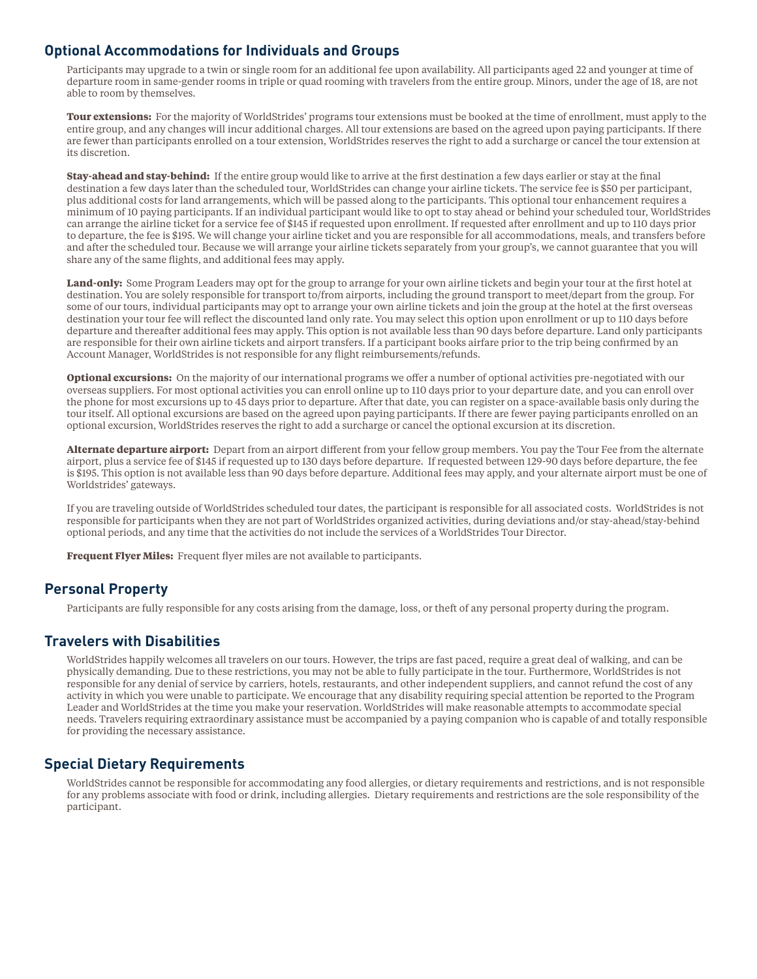# **Optional Accommodations for Individuals and Groups**

Participants may upgrade to a twin or single room for an additional fee upon availability. All participants aged 22 and younger at time of departure room in same-gender rooms in triple or quad rooming with travelers from the entire group. Minors, under the age of 18, are not able to room by themselves.

**Tour extensions:** For the majority of WorldStrides' programs tour extensions must be booked at the time of enrollment, must apply to the entire group, and any changes will incur additional charges. All tour extensions are based on the agreed upon paying participants. If there are fewer than participants enrolled on a tour extension, WorldStrides reserves the right to add a surcharge or cancel the tour extension at its discretion.

**Stay-ahead and stay-behind:** If the entire group would like to arrive at the first destination a few days earlier or stay at the final destination a few days later than the scheduled tour, WorldStrides can change your airline tickets. The service fee is \$50 per participant, plus additional costs for land arrangements, which will be passed along to the participants. This optional tour enhancement requires a minimum of 10 paying participants. If an individual participant would like to opt to stay ahead or behind your scheduled tour, WorldStrides can arrange the airline ticket for a service fee of \$145 if requested upon enrollment. If requested after enrollment and up to 110 days prior to departure, the fee is \$195. We will change your airline ticket and you are responsible for all accommodations, meals, and transfers before and after the scheduled tour. Because we will arrange your airline tickets separately from your group's, we cannot guarantee that you will share any of the same flights, and additional fees may apply.

**Land-only:** Some Program Leaders may opt for the group to arrange for your own airline tickets and begin your tour at the first hotel at destination. You are solely responsible for transport to/from airports, including the ground transport to meet/depart from the group. For some of our tours, individual participants may opt to arrange your own airline tickets and join the group at the hotel at the first overseas destination your tour fee will reflect the discounted land only rate. You may select this option upon enrollment or up to 110 days before departure and thereafter additional fees may apply. This option is not available less than 90 days before departure. Land only participants are responsible for their own airline tickets and airport transfers. If a participant books airfare prior to the trip being confirmed by an Account Manager, WorldStrides is not responsible for any flight reimbursements/refunds.

**Optional excursions:** On the majority of our international programs we offer a number of optional activities pre-negotiated with our overseas suppliers. For most optional activities you can enroll online up to 110 days prior to your departure date, and you can enroll over the phone for most excursions up to 45 days prior to departure. After that date, you can register on a space-available basis only during the tour itself. All optional excursions are based on the agreed upon paying participants. If there are fewer paying participants enrolled on an optional excursion, WorldStrides reserves the right to add a surcharge or cancel the optional excursion at its discretion.

**Alternate departure airport:** Depart from an airport different from your fellow group members. You pay the Tour Fee from the alternate airport, plus a service fee of \$145 if requested up to 130 days before departure. If requested between 129-90 days before departure, the fee is \$195. This option is not available less than 90 days before departure. Additional fees may apply, and your alternate airport must be one of Worldstrides' gateways.

If you are traveling outside of WorldStrides scheduled tour dates, the participant is responsible for all associated costs. WorldStrides is not responsible for participants when they are not part of WorldStrides organized activities, during deviations and/or stay-ahead/stay-behind optional periods, and any time that the activities do not include the services of a WorldStrides Tour Director.

**Frequent Flyer Miles:** Frequent flyer miles are not available to participants.

# **Personal Property**

Participants are fully responsible for any costs arising from the damage, loss, or theft of any personal property during the program.

# **Travelers with Disabilities**

WorldStrides happily welcomes all travelers on our tours. However, the trips are fast paced, require a great deal of walking, and can be physically demanding. Due to these restrictions, you may not be able to fully participate in the tour. Furthermore, WorldStrides is not responsible for any denial of service by carriers, hotels, restaurants, and other independent suppliers, and cannot refund the cost of any activity in which you were unable to participate. We encourage that any disability requiring special attention be reported to the Program Leader and WorldStrides at the time you make your reservation. WorldStrides will make reasonable attempts to accommodate special needs. Travelers requiring extraordinary assistance must be accompanied by a paying companion who is capable of and totally responsible for providing the necessary assistance.

# **Special Dietary Requirements**

WorldStrides cannot be responsible for accommodating any food allergies, or dietary requirements and restrictions, and is not responsible for any problems associate with food or drink, including allergies. Dietary requirements and restrictions are the sole responsibility of the participant.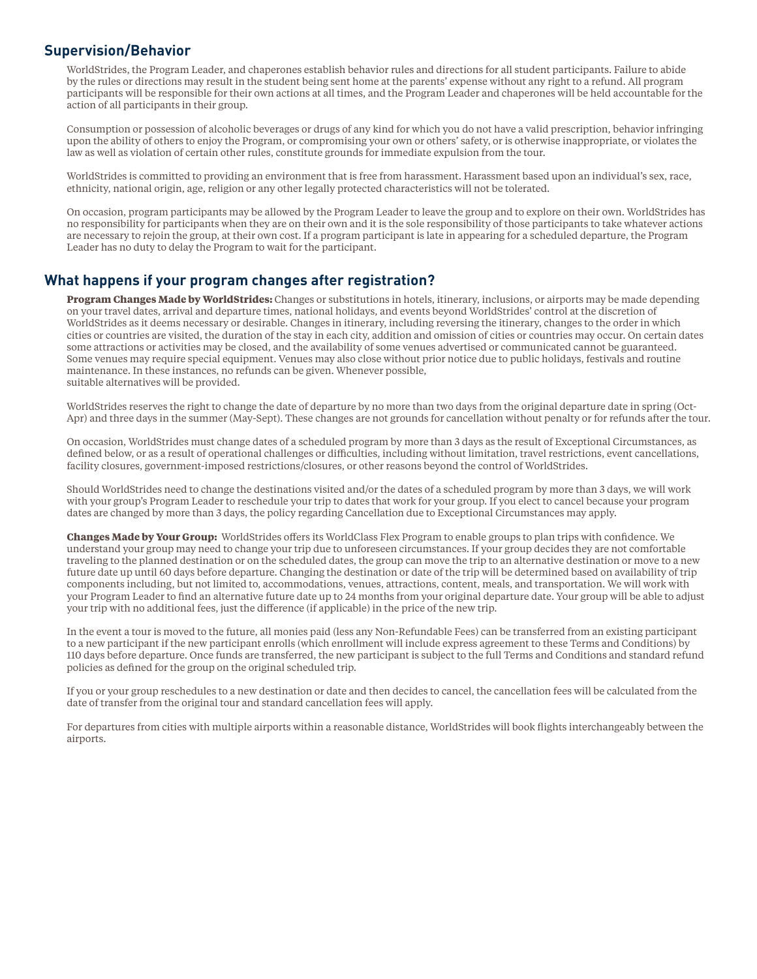### **Supervision/Behavior**

WorldStrides, the Program Leader, and chaperones establish behavior rules and directions for all student participants. Failure to abide by the rules or directions may result in the student being sent home at the parents' expense without any right to a refund. All program participants will be responsible for their own actions at all times, and the Program Leader and chaperones will be held accountable for the action of all participants in their group.

Consumption or possession of alcoholic beverages or drugs of any kind for which you do not have a valid prescription, behavior infringing upon the ability of others to enjoy the Program, or compromising your own or others' safety, or is otherwise inappropriate, or violates the law as well as violation of certain other rules, constitute grounds for immediate expulsion from the tour.

WorldStrides is committed to providing an environment that is free from harassment. Harassment based upon an individual's sex, race, ethnicity, national origin, age, religion or any other legally protected characteristics will not be tolerated.

On occasion, program participants may be allowed by the Program Leader to leave the group and to explore on their own. WorldStrides has no responsibility for participants when they are on their own and it is the sole responsibility of those participants to take whatever actions are necessary to rejoin the group, at their own cost. If a program participant is late in appearing for a scheduled departure, the Program Leader has no duty to delay the Program to wait for the participant.

# **What happens if your program changes after registration?**

**Program Changes Made by WorldStrides:** Changes or substitutions in hotels, itinerary, inclusions, or airports may be made depending on your travel dates, arrival and departure times, national holidays, and events beyond WorldStrides' control at the discretion of WorldStrides as it deems necessary or desirable. Changes in itinerary, including reversing the itinerary, changes to the order in which cities or countries are visited, the duration of the stay in each city, addition and omission of cities or countries may occur. On certain dates some attractions or activities may be closed, and the availability of some venues advertised or communicated cannot be guaranteed. Some venues may require special equipment. Venues may also close without prior notice due to public holidays, festivals and routine maintenance. In these instances, no refunds can be given. Whenever possible, suitable alternatives will be provided.

WorldStrides reserves the right to change the date of departure by no more than two days from the original departure date in spring (Oct-Apr) and three days in the summer (May-Sept). These changes are not grounds for cancellation without penalty or for refunds after the tour.

On occasion, WorldStrides must change dates of a scheduled program by more than 3 days as the result of Exceptional Circumstances, as defined below, or as a result of operational challenges or difficulties, including without limitation, travel restrictions, event cancellations, facility closures, government-imposed restrictions/closures, or other reasons beyond the control of WorldStrides.

Should WorldStrides need to change the destinations visited and/or the dates of a scheduled program by more than 3 days, we will work with your group's Program Leader to reschedule your trip to dates that work for your group. If you elect to cancel because your program dates are changed by more than 3 days, the policy regarding Cancellation due to Exceptional Circumstances may apply.

**Changes Made by Your Group:** WorldStrides offers its WorldClass Flex Program to enable groups to plan trips with confidence. We understand your group may need to change your trip due to unforeseen circumstances. If your group decides they are not comfortable traveling to the planned destination or on the scheduled dates, the group can move the trip to an alternative destination or move to a new future date up until 60 days before departure. Changing the destination or date of the trip will be determined based on availability of trip components including, but not limited to, accommodations, venues, attractions, content, meals, and transportation. We will work with your Program Leader to find an alternative future date up to 24 months from your original departure date. Your group will be able to adjust your trip with no additional fees, just the difference (if applicable) in the price of the new trip.

In the event a tour is moved to the future, all monies paid (less any Non-Refundable Fees) can be transferred from an existing participant to a new participant if the new participant enrolls (which enrollment will include express agreement to these Terms and Conditions) by 110 days before departure. Once funds are transferred, the new participant is subject to the full Terms and Conditions and standard refund policies as defined for the group on the original scheduled trip.

If you or your group reschedules to a new destination or date and then decides to cancel, the cancellation fees will be calculated from the date of transfer from the original tour and standard cancellation fees will apply.

For departures from cities with multiple airports within a reasonable distance, WorldStrides will book flights interchangeably between the airports.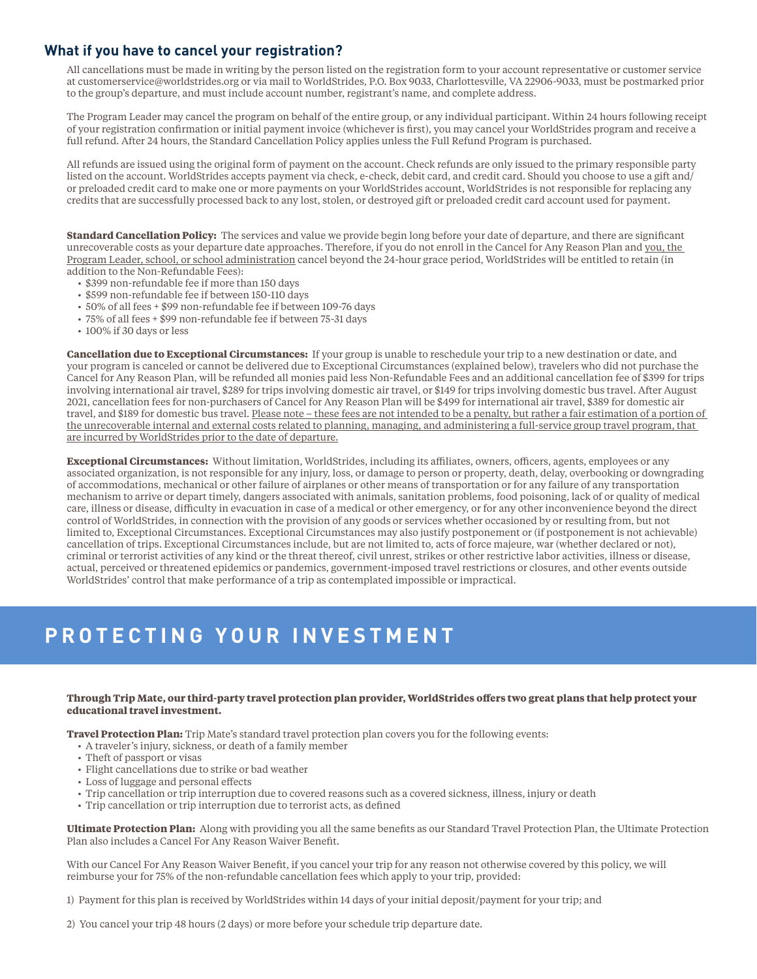# **What if you have to cancel your registration?**

All cancellations must be made in writing by the person listed on the registration form to your account representative or customer service at customerservice@worldstrides.org or via mail to WorldStrides, P.O. Box 9033, Charlottesville, VA 22906-9033, must be postmarked prior to the group's departure, and must include account number, registrant's name, and complete address.

The Program Leader may cancel the program on behalf of the entire group, or any individual participant. Within 24 hours following receipt of your registration confirmation or initial payment invoice (whichever is first), you may cancel your WorldStrides program and receive a full refund. After 24 hours, the Standard Cancellation Policy applies unless the Full Refund Program is purchased.

All refunds are issued using the original form of payment on the account. Check refunds are only issued to the primary responsible party listed on the account. WorldStrides accepts payment via check, e-check, debit card, and credit card. Should you choose to use a gift and/ or preloaded credit card to make one or more payments on your WorldStrides account, WorldStrides is not responsible for replacing any credits that are successfully processed back to any lost, stolen, or destroyed gift or preloaded credit card account used for payment.

**Standard Cancellation Policy:** The services and value we provide begin long before your date of departure, and there are significant unrecoverable costs as your departure date approaches. Therefore, if you do not enroll in the Cancel for Any Reason Plan and you, the Program Leader, school, or school administration cancel beyond the 24-hour grace period, WorldStrides will be entitled to retain (in addition to the Non-Refundable Fees):

- \$399 non-refundable fee if more than 150 days
- \$599 non-refundable fee if between 150-110 days
- 50% of all fees + \$99 non-refundable fee if between 109-76 days
- 75% of all fees + \$99 non-refundable fee if between 75-31 days
- 100% if 30 days or less

**Cancellation due to Exceptional Circumstances:** If your group is unable to reschedule your trip to a new destination or date, and your program is canceled or cannot be delivered due to Exceptional Circumstances (explained below), travelers who did not purchase the Cancel for Any Reason Plan, will be refunded all monies paid less Non-Refundable Fees and an additional cancellation fee of \$399 for trips involving international air travel, \$289 for trips involving domestic air travel, or \$149 for trips involving domestic bus travel. After August 2021, cancellation fees for non-purchasers of Cancel for Any Reason Plan will be \$499 for international air travel, \$389 for domestic air travel, and \$189 for domestic bus travel. Please note – these fees are not intended to be a penalty, but rather a fair estimation of a portion of the unrecoverable internal and external costs related to planning, managing, and administering a full-service group travel program, that are incurred by WorldStrides prior to the date of departure.

**Exceptional Circumstances:** Without limitation, WorldStrides, including its affiliates, owners, officers, agents, employees or any associated organization, is not responsible for any injury, loss, or damage to person or property, death, delay, overbooking or downgrading of accommodations, mechanical or other failure of airplanes or other means of transportation or for any failure of any transportation mechanism to arrive or depart timely, dangers associated with animals, sanitation problems, food poisoning, lack of or quality of medical care, illness or disease, difficulty in evacuation in case of a medical or other emergency, or for any other inconvenience beyond the direct control of WorldStrides, in connection with the provision of any goods or services whether occasioned by or resulting from, but not limited to, Exceptional Circumstances. Exceptional Circumstances may also justify postponement or (if postponement is not achievable) cancellation of trips. Exceptional Circumstances include, but are not limited to, acts of force majeure, war (whether declared or not), criminal or terrorist activities of any kind or the threat thereof, civil unrest, strikes or other restrictive labor activities, illness or disease, actual, perceived or threatened epidemics or pandemics, government-imposed travel restrictions or closures, and other events outside WorldStrides' control that make performance of a trip as contemplated impossible or impractical.

# **PROTECTING YOUR INVESTMENT**

#### **Through Trip Mate, our third-party travel protection plan provider, WorldStrides offers two great plans that help protect your educational travel investment.**

**Travel Protection Plan:** Trip Mate's standard travel protection plan covers you for the following events:

- A traveler's injury, sickness, or death of a family member
- Theft of passport or visas
- Flight cancellations due to strike or bad weather
- Loss of luggage and personal effects
- Trip cancellation or trip interruption due to covered reasons such as a covered sickness, illness, injury or death
- Trip cancellation or trip interruption due to terrorist acts, as defined

**Ultimate Protection Plan:** Along with providing you all the same benefits as our Standard Travel Protection Plan, the Ultimate Protection Plan also includes a Cancel For Any Reason Waiver Benefit.

With our Cancel For Any Reason Waiver Benefit, if you cancel your trip for any reason not otherwise covered by this policy, we will reimburse your for 75% of the non-refundable cancellation fees which apply to your trip, provided:

1) Payment for this plan is received by WorldStrides within 14 days of your initial deposit/payment for your trip; and

2) You cancel your trip 48 hours (2 days) or more before your schedule trip departure date.